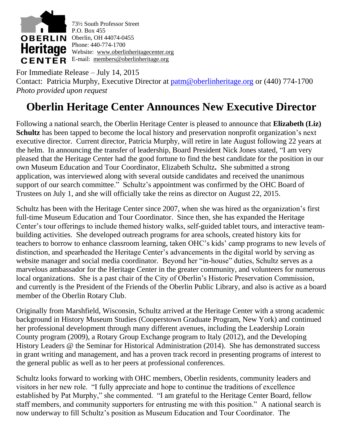

For Immediate Release – July 14, 2015 Contact: Patricia Murphy, Executive Director at [patm@oberlinheritage.org](mailto:patm@oberlinheritage.org) or (440) 774-1700 *Photo provided upon request*

## **Oberlin Heritage Center Announces New Executive Director**

Following a national search, the Oberlin Heritage Center is pleased to announce that **Elizabeth (Liz) Schultz** has been tapped to become the local history and preservation nonprofit organization's next executive director. Current director, Patricia Murphy, will retire in late August following 22 years at the helm. In announcing the transfer of leadership, Board President Nick Jones stated, "I am very pleased that the Heritage Center had the good fortune to find the best candidate for the position in our own Museum Education and Tour Coordinator, Elizabeth Schultz**.** She submitted a strong application, was interviewed along with several outside candidates and received the unanimous support of our search committee." Schultz's appointment was confirmed by the OHC Board of Trustees on July 1, and she will officially take the reins as director on August 22, 2015.

Schultz has been with the Heritage Center since 2007, when she was hired as the organization's first full-time Museum Education and Tour Coordinator. Since then, she has expanded the Heritage Center's tour offerings to include themed history walks, self-guided tablet tours, and interactive teambuilding activities. She developed outreach programs for area schools, created history kits for teachers to borrow to enhance classroom learning, taken OHC's kids' camp programs to new levels of distinction, and spearheaded the Heritage Center's advancements in the digital world by serving as website manager and social media coordinator. Beyond her "in-house" duties, Schultz serves as a marvelous ambassador for the Heritage Center in the greater community, and volunteers for numerous local organizations. She is a past chair of the City of Oberlin's Historic Preservation Commission, and currently is the President of the Friends of the Oberlin Public Library, and also is active as a board member of the Oberlin Rotary Club.

Originally from Marshfield, Wisconsin, Schultz arrived at the Heritage Center with a strong academic background in History Museum Studies (Cooperstown Graduate Program, New York) and continued her professional development through many different avenues, including the Leadership Lorain County program (2009), a Rotary Group Exchange program to Italy (2012), and the Developing History Leaders @ the Seminar for Historical Administration (2014). She has demonstrated success in grant writing and management, and has a proven track record in presenting programs of interest to the general public as well as to her peers at professional conferences.

Schultz looks forward to working with OHC members, Oberlin residents, community leaders and visitors in her new role. "I fully appreciate and hope to continue the traditions of excellence established by Pat Murphy," she commented. "I am grateful to the Heritage Center Board, fellow staff members, and community supporters for entrusting me with this position." A national search is now underway to fill Schultz's position as Museum Education and Tour Coordinator. The